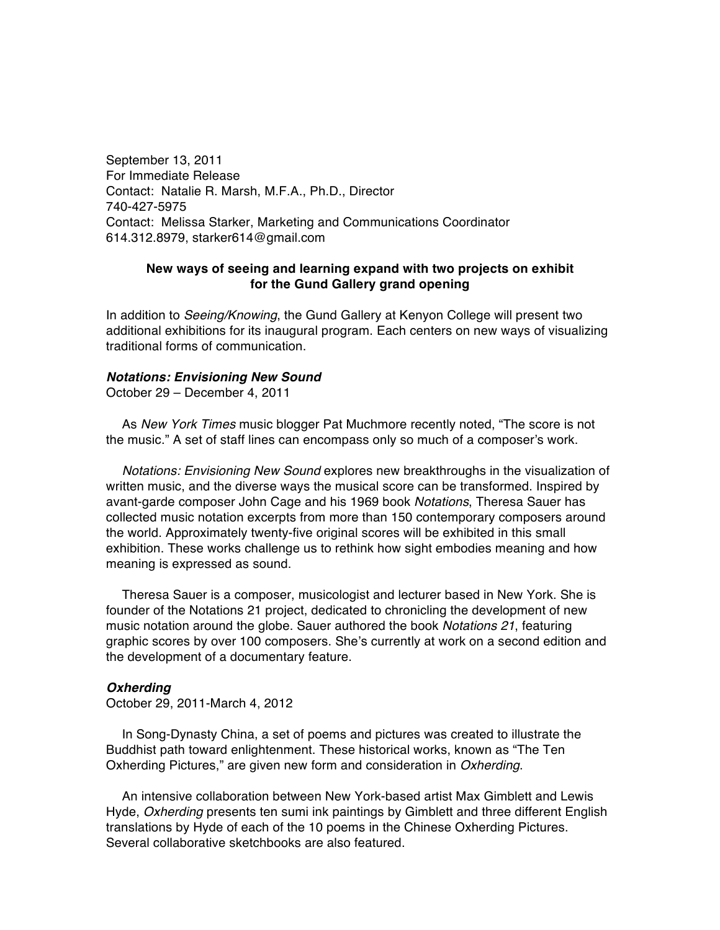September 13, 2011 For Immediate Release Contact: Natalie R. Marsh, M.F.A., Ph.D., Director 740-427-5975 Contact: Melissa Starker, Marketing and Communications Coordinator 614.312.8979, starker614@gmail.com

## **New ways of seeing and learning expand with two projects on exhibit for the Gund Gallery grand opening**

In addition to *Seeing/Knowing*, the Gund Gallery at Kenyon College will present two additional exhibitions for its inaugural program. Each centers on new ways of visualizing traditional forms of communication.

## *Notations: Envisioning New Sound*

October 29 – December 4, 2011

As *New York Times* music blogger Pat Muchmore recently noted, "The score is not the music." A set of staff lines can encompass only so much of a composer's work.

*Notations: Envisioning New Sound* explores new breakthroughs in the visualization of written music, and the diverse ways the musical score can be transformed. Inspired by avant-garde composer John Cage and his 1969 book *Notations*, Theresa Sauer has collected music notation excerpts from more than 150 contemporary composers around the world. Approximately twenty-five original scores will be exhibited in this small exhibition. These works challenge us to rethink how sight embodies meaning and how meaning is expressed as sound.

Theresa Sauer is a composer, musicologist and lecturer based in New York. She is founder of the Notations 21 project, dedicated to chronicling the development of new music notation around the globe. Sauer authored the book *Notations 21*, featuring graphic scores by over 100 composers. She's currently at work on a second edition and the development of a documentary feature.

## *Oxherding*

October 29, 2011-March 4, 2012

In Song-Dynasty China, a set of poems and pictures was created to illustrate the Buddhist path toward enlightenment. These historical works, known as "The Ten Oxherding Pictures," are given new form and consideration in *Oxherding*.

An intensive collaboration between New York-based artist Max Gimblett and Lewis Hyde, *Oxherding* presents ten sumi ink paintings by Gimblett and three different English translations by Hyde of each of the 10 poems in the Chinese Oxherding Pictures. Several collaborative sketchbooks are also featured.